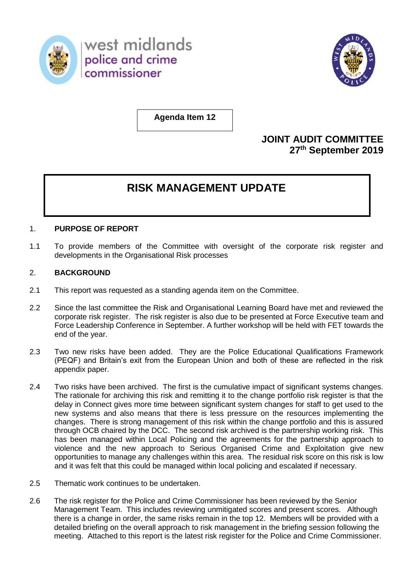



**Agenda Item 12**

## **JOINT AUDIT COMMITTEE 27 th September 2019**

# **RISK MANAGEMENT UPDATE**

#### 1. **PURPOSE OF REPORT**

1.1 To provide members of the Committee with oversight of the corporate risk register and developments in the Organisational Risk processes

#### 2. **BACKGROUND**

- 2.1 This report was requested as a standing agenda item on the Committee.
- 2.2 Since the last committee the Risk and Organisational Learning Board have met and reviewed the corporate risk register. The risk register is also due to be presented at Force Executive team and Force Leadership Conference in September. A further workshop will be held with FET towards the end of the year.
- 2.3 Two new risks have been added. They are the Police Educational Qualifications Framework (PEQF) and Britain's exit from the European Union and both of these are reflected in the risk appendix paper.
- 2.4 Two risks have been archived. The first is the cumulative impact of significant systems changes. The rationale for archiving this risk and remitting it to the change portfolio risk register is that the delay in Connect gives more time between significant system changes for staff to get used to the new systems and also means that there is less pressure on the resources implementing the changes. There is strong management of this risk within the change portfolio and this is assured through OCB chaired by the DCC. The second risk archived is the partnership working risk. This has been managed within Local Policing and the agreements for the partnership approach to violence and the new approach to Serious Organised Crime and Exploitation give new opportunities to manage any challenges within this area. The residual risk score on this risk is low and it was felt that this could be managed within local policing and escalated if necessary.
- 2.5 Thematic work continues to be undertaken.
- 2.6 The risk register for the Police and Crime Commissioner has been reviewed by the Senior Management Team. This includes reviewing unmitigated scores and present scores. Although there is a change in order, the same risks remain in the top 12. Members will be provided with a detailed briefing on the overall approach to risk management in the briefing session following the meeting. Attached to this report is the latest risk register for the Police and Crime Commissioner.